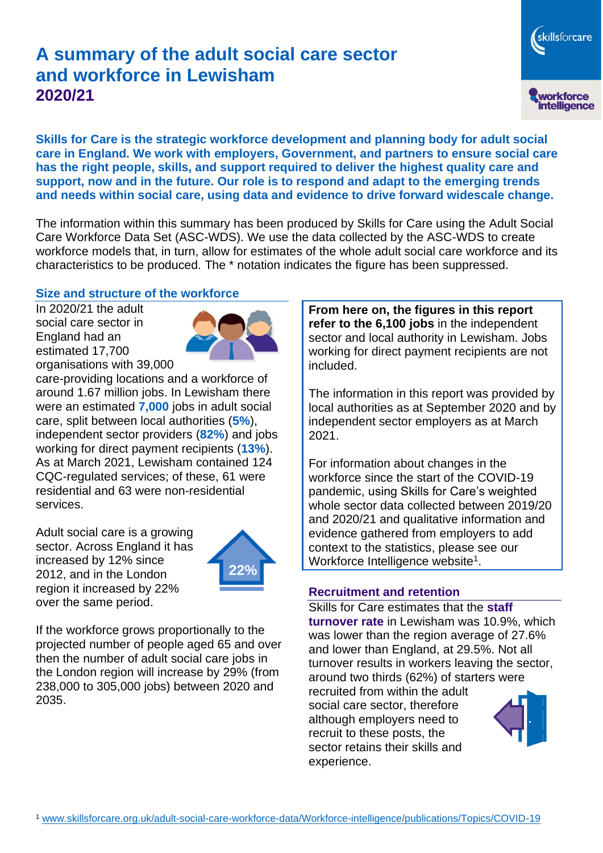# **A summary of the adult social care sector and workforce in Lewisham 2020/21**

skillsforcare workforce<br>intelligence

**Skills for Care is the strategic workforce development and planning body for adult social care in England. We work with employers, Government, and partners to ensure social care has the right people, skills, and support required to deliver the highest quality care and support, now and in the future. Our role is to respond and adapt to the emerging trends and needs within social care, using data and evidence to drive forward widescale change.**

The information within this summary has been produced by Skills for Care using the Adult Social Care Workforce Data Set (ASC-WDS). We use the data collected by the ASC-WDS to create workforce models that, in turn, allow for estimates of the whole adult social care workforce and its characteristics to be produced. The \* notation indicates the figure has been suppressed.

#### **Size and structure of the workforce**

In 2020/21 the adult social care sector in England had an estimated 17,700 organisations with 39,000



care-providing locations and a workforce of around 1.67 million jobs. In Lewisham there were an estimated **7,000** jobs in adult social care, split between local authorities (**5%**), independent sector providers (**82%**) and jobs working for direct payment recipients (**13%**). As at March 2021, Lewisham contained 124 CQC-regulated services; of these, 61 were residential and 63 were non-residential services.

Adult social care is a growing sector. Across England it has increased by 12% since 2012, and in the London region it increased by 22% over the same period.



If the workforce grows proportionally to the projected number of people aged 65 and over then the number of adult social care jobs in the London region will increase by 29% (from 238,000 to 305,000 jobs) between 2020 and 2035.

**From here on, the figures in this report refer to the 6,100 jobs** in the independent sector and local authority in Lewisham. Jobs working for direct payment recipients are not included.

The information in this report was provided by local authorities as at September 2020 and by independent sector employers as at March 2021.

For information about changes in the workforce since the start of the COVID-19 pandemic, using Skills for Care's weighted whole sector data collected between 2019/20 and 2020/21 and qualitative information and evidence gathered from employers to add context to the statistics, please see our Workforce Intelligence website<sup>1</sup>.

#### **Recruitment and retention**

Skills for Care estimates that the **staff turnover rate** in Lewisham was 10.9%, which was lower than the region average of 27.6% and lower than England, at 29.5%. Not all turnover results in workers leaving the sector, around two thirds (62%) of starters were recruited from within the adult social care sector, therefore although employers need to recruit to these posts, the sector retains their skills and experience.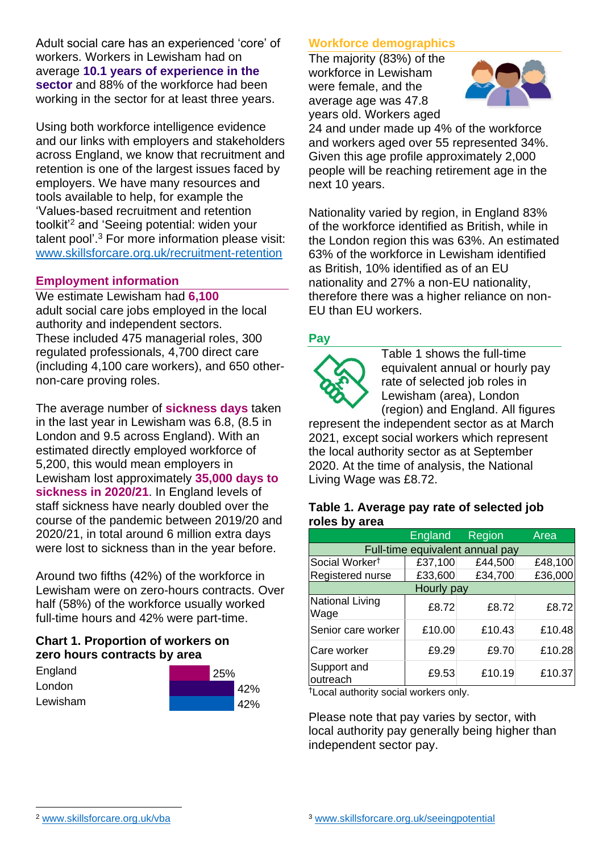Adult social care has an experienced 'core' of workers. Workers in Lewisham had on average **10.1 years of experience in the sector** and 88% of the workforce had been working in the sector for at least three years.

Using both workforce intelligence evidence and our links with employers and stakeholders across England, we know that recruitment and retention is one of the largest issues faced by employers. We have many resources and tools available to help, for example the 'Values-based recruitment and retention toolkit'<sup>2</sup> and 'Seeing potential: widen your talent pool'. <sup>3</sup> For more information please visit: [www.skillsforcare.org.uk/recruitment-retention](http://www.skillsforcare.org.uk/recruitment-retention)

#### **Employment information**

We estimate Lewisham had **6,100** adult social care jobs employed in the local authority and independent sectors. These included 475 managerial roles, 300 regulated professionals, 4,700 direct care (including 4,100 care workers), and 650 othernon-care proving roles.

The average number of **sickness days** taken in the last year in Lewisham was 6.8, (8.5 in London and 9.5 across England). With an estimated directly employed workforce of 5,200, this would mean employers in Lewisham lost approximately **35,000 days to sickness in 2020/21**. In England levels of staff sickness have nearly doubled over the course of the pandemic between 2019/20 and 2020/21, in total around 6 million extra days were lost to sickness than in the year before.

Around two fifths (42%) of the workforce in Lewisham were on zero-hours contracts. Over half (58%) of the workforce usually worked full-time hours and 42% were part-time.

### **Chart 1. Proportion of workers on zero hours contracts by area**

| England  | 25% |  |     |
|----------|-----|--|-----|
| London   |     |  | 42% |
| Lewisham |     |  | 42% |

### **Workforce demographics**

The majority (83%) of the workforce in Lewisham were female, and the average age was 47.8 years old. Workers aged



24 and under made up 4% of the workforce and workers aged over 55 represented 34%. Given this age profile approximately 2,000 people will be reaching retirement age in the next 10 years.

Nationality varied by region, in England 83% of the workforce identified as British, while in the London region this was 63%. An estimated 63% of the workforce in Lewisham identified as British, 10% identified as of an EU nationality and 27% a non-EU nationality, therefore there was a higher reliance on non-EU than EU workers.

### **Pay**



Table 1 shows the full-time equivalent annual or hourly pay rate of selected job roles in Lewisham (area), London (region) and England. All figures

represent the independent sector as at March 2021, except social workers which represent the local authority sector as at September 2020. At the time of analysis, the National Living Wage was £8.72.

#### **Table 1. Average pay rate of selected job roles by area**

|                                 | <b>England</b> | Region  | Area    |  |  |
|---------------------------------|----------------|---------|---------|--|--|
| Full-time equivalent annual pay |                |         |         |  |  |
| Social Worker <sup>†</sup>      | £37,100        | £44,500 | £48,100 |  |  |
| Registered nurse                | £33,600        | £34,700 | £36,000 |  |  |
| Hourly pay                      |                |         |         |  |  |
| National Living<br>Wage         | £8.72          | £8.72   | £8.72   |  |  |
| Senior care worker              | £10.00         | £10.43  | £10.48  |  |  |
| Care worker                     | £9.29          | £9.70   | £10.28  |  |  |
| Support and<br>outreach         | £9.53          | £10.19  | £10.37  |  |  |

†Local authority social workers only.

Please note that pay varies by sector, with local authority pay generally being higher than independent sector pay.